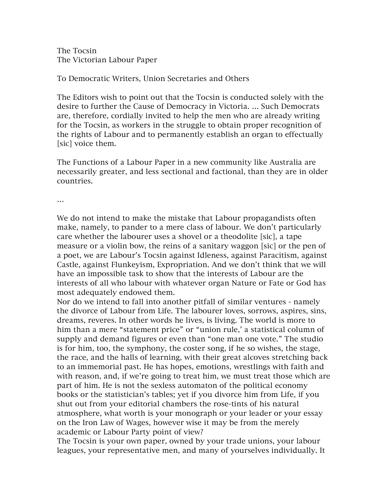The Tocsin The Victorian Labour Paper

To Democratic Writers, Union Secretaries and Others

The Editors wish to point out that the Tocsin is conducted solely with the desire to further the Cause of Democracy in Victoria. … Such Democrats are, therefore, cordially invited to help the men who are already writing for the Tocsin, as workers in the struggle to obtain proper recognition of the rights of Labour and to permanently establish an organ to effectually [sic] voice them.

The Functions of a Labour Paper in a new community like Australia are necessarily greater, and less sectional and factional, than they are in older countries.

…

We do not intend to make the mistake that Labour propagandists often make, namely, to pander to a mere class of labour. We don't particularly care whether the labourer uses a shovel or a theodolite [sic], a tape measure or a violin bow, the reins of a sanitary waggon [sic] or the pen of a poet, we are Labour's Tocsin against Idleness, against Paracitism, against Castle, against Flunkeyism, Expropriation. And we don't think that we will have an impossible task to show that the interests of Labour are the interests of all who labour with whatever organ Nature or Fate or God has most adequately endowed them.

Nor do we intend to fall into another pitfall of similar ventures - namely the divorce of Labour from Life. The labourer loves, sorrows, aspires, sins, dreams, reveres. In other words he lives, is living. The world is more to him than a mere "statement price" or "union rule,' a statistical column of supply and demand figures or even than "one man one vote." The studio is for him, too, the symphony, the coster song, if he so wishes, the stage, the race, and the halls of learning, with their great alcoves stretching back to an immemorial past. He has hopes, emotions, wrestlings with faith and with reason, and, if we're going to treat him, we must treat those which are part of him. He is not the sexless automaton of the political economy books or the statistician's tables; yet if you divorce him from Life, if you shut out from your editorial chambers the rose-tints of his natural atmosphere, what worth is your monograph or your leader or your essay on the Iron Law of Wages, however wise it may be from the merely academic or Labour Party point of view?

The Tocsin is your own paper, owned by your trade unions, your labour leagues, your representative men, and many of yourselves individually. It